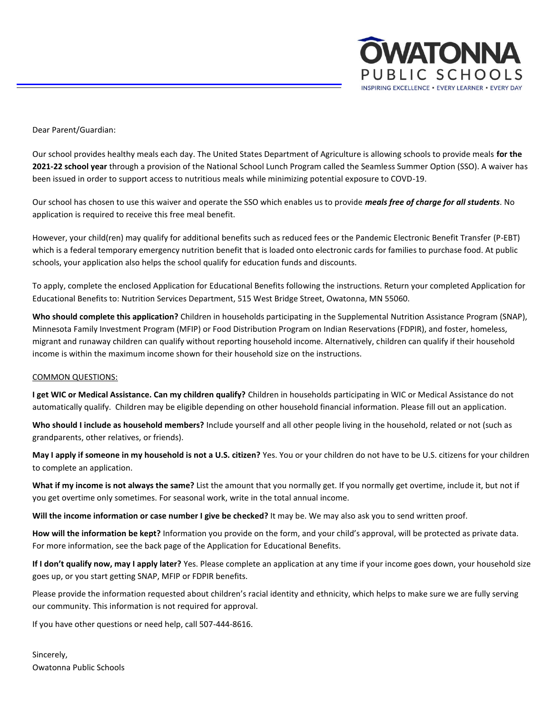

Dear Parent/Guardian:

Our school provides healthy meals each day. The United States Department of Agriculture is allowing schools to provide meals **for the 2021-22 school year** through a provision of the National School Lunch Program called the Seamless Summer Option (SSO). A waiver has been issued in order to support access to nutritious meals while minimizing potential exposure to COVD-19.

Our school has chosen to use this waiver and operate the SSO which enables us to provide *meals free of charge for all students*. No application is required to receive this free meal benefit.

However, your child(ren) may qualify for additional benefits such as reduced fees or the Pandemic Electronic Benefit Transfer (P-EBT) which is a federal temporary emergency nutrition benefit that is loaded onto electronic cards for families to purchase food. At public schools, your application also helps the school qualify for education funds and discounts.

To apply, complete the enclosed Application for Educational Benefits following the instructions. Return your completed Application for Educational Benefits to: Nutrition Services Department, 515 West Bridge Street, Owatonna, MN 55060.

**Who should complete this application?** Children in households participating in the Supplemental Nutrition Assistance Program (SNAP), Minnesota Family Investment Program (MFIP) or Food Distribution Program on Indian Reservations (FDPIR), and foster, homeless, migrant and runaway children can qualify without reporting household income. Alternatively, children can qualify if their household income is within the maximum income shown for their household size on the instructions.

# COMMON QUESTIONS:

**I get WIC or Medical Assistance. Can my children qualify?** Children in households participating in WIC or Medical Assistance do not automatically qualify. Children may be eligible depending on other household financial information. Please fill out an application.

**Who should I include as household members?** Include yourself and all other people living in the household, related or not (such as grandparents, other relatives, or friends).

**May I apply if someone in my household is not a U.S. citizen?** Yes. You or your children do not have to be U.S. citizens for your children to complete an application.

**What if my income is not always the same?** List the amount that you normally get. If you normally get overtime, include it, but not if you get overtime only sometimes. For seasonal work, write in the total annual income.

**Will the income information or case number I give be checked?** It may be. We may also ask you to send written proof.

**How will the information be kept?** Information you provide on the form, and your child's approval, will be protected as private data. For more information, see the back page of the Application for Educational Benefits.

**If I don't qualify now, may I apply later?** Yes. Please complete an application at any time if your income goes down, your household size goes up, or you start getting SNAP, MFIP or FDPIR benefits.

Please provide the information requested about children's racial identity and ethnicity, which helps to make sure we are fully serving our community. This information is not required for approval.

If you have other questions or need help, call 507-444-8616.

Sincerely, Owatonna Public Schools